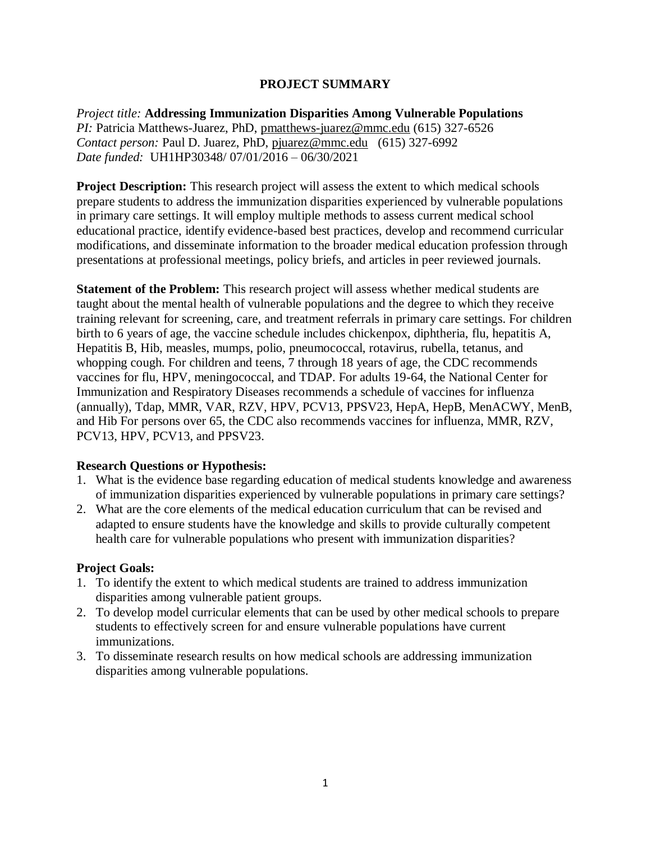### **PROJECT SUMMARY**

*Project title:* **Addressing Immunization Disparities Among Vulnerable Populations** *PI:* Patricia Matthews-Juarez, PhD, [pmatthews-juarez@mmc.edu](mailto:pmatthews-juarez@mmc.edu) (615) 327-6526 *Contact person:* Paul D. Juarez, PhD, [pjuarez@mmc.edu](mailto:pjuarez@mmc.edu) (615) 327-6992 *Date funded:* UH1HP30348/ 07/01/2016 – 06/30/2021

**Project Description:** This research project will assess the extent to which medical schools prepare students to address the immunization disparities experienced by vulnerable populations in primary care settings. It will employ multiple methods to assess current medical school educational practice, identify evidence-based best practices, develop and recommend curricular modifications, and disseminate information to the broader medical education profession through presentations at professional meetings, policy briefs, and articles in peer reviewed journals.

**Statement of the Problem:** This research project will assess whether medical students are taught about the mental health of vulnerable populations and the degree to which they receive training relevant for screening, care, and treatment referrals in primary care settings. For children birth to 6 years of age, the vaccine schedule includes chickenpox, diphtheria, flu, hepatitis A, Hepatitis B, Hib, measles, mumps, polio, pneumococcal, rotavirus, rubella, tetanus, and whopping cough. For children and teens, 7 through 18 years of age, the CDC recommends vaccines for flu, HPV, meningococcal, and TDAP. For adults 19-64, the National Center for Immunization and Respiratory Diseases recommends a schedule of vaccines for influenza (annually), Tdap, MMR, VAR, RZV, HPV, PCV13, PPSV23, HepA, HepB, MenACWY, MenB, and Hib For persons over 65, the CDC also recommends vaccines for influenza, MMR, RZV, PCV13, HPV, PCV13, and PPSV23.

#### **Research Questions or Hypothesis:**

- 1. What is the evidence base regarding education of medical students knowledge and awareness of immunization disparities experienced by vulnerable populations in primary care settings?
- 2. What are the core elements of the medical education curriculum that can be revised and adapted to ensure students have the knowledge and skills to provide culturally competent health care for vulnerable populations who present with immunization disparities?

#### **Project Goals:**

- 1. To identify the extent to which medical students are trained to address immunization disparities among vulnerable patient groups.
- 2. To develop model curricular elements that can be used by other medical schools to prepare students to effectively screen for and ensure vulnerable populations have current immunizations.
- 3. To disseminate research results on how medical schools are addressing immunization disparities among vulnerable populations.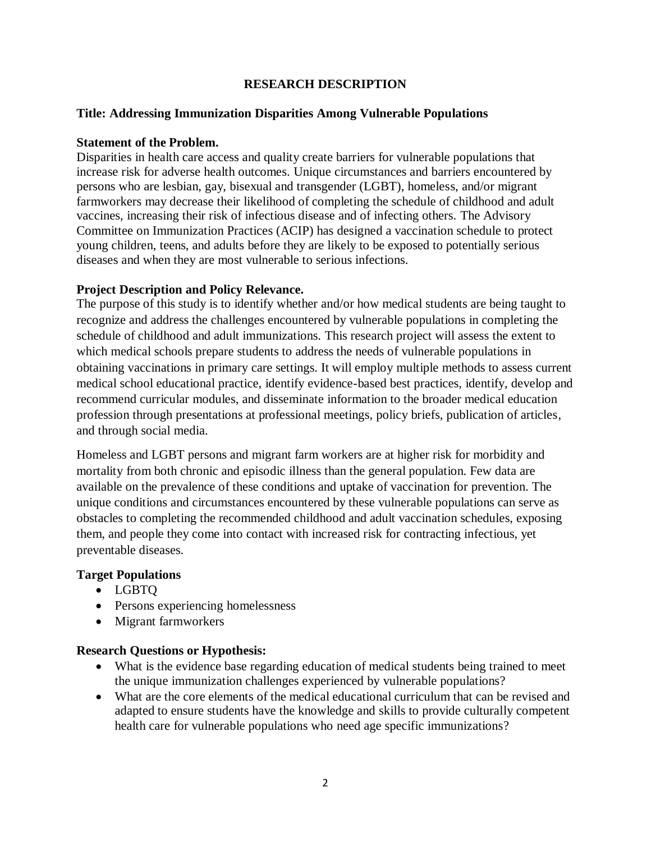### **RESEARCH DESCRIPTION**

### **Title: Addressing Immunization Disparities Among Vulnerable Populations**

#### **Statement of the Problem.**

Disparities in health care access and quality create barriers for vulnerable populations that increase risk for adverse health outcomes. Unique circumstances and barriers encountered by persons who are lesbian, gay, bisexual and transgender (LGBT), homeless, and/or migrant farmworkers may decrease their likelihood of completing the schedule of childhood and adult vaccines, increasing their risk of infectious disease and of infecting others. The Advisory Committee on Immunization Practices (ACIP) has designed a vaccination schedule to protect young children, teens, and adults before they are likely to be exposed to potentially serious diseases and when they are most vulnerable to serious infections.

#### **Project Description and Policy Relevance.**

The purpose of this study is to identify whether and/or how medical students are being taught to recognize and address the challenges encountered by vulnerable populations in completing the schedule of childhood and adult immunizations. This research project will assess the extent to which medical schools prepare students to address the needs of vulnerable populations in obtaining vaccinations in primary care settings. It will employ multiple methods to assess current medical school educational practice, identify evidence-based best practices, identify, develop and recommend curricular modules, and disseminate information to the broader medical education profession through presentations at professional meetings, policy briefs, publication of articles, and through social media.

Homeless and LGBT persons and migrant farm workers are at higher risk for morbidity and mortality from both chronic and episodic illness than the general population. Few data are available on the prevalence of these conditions and uptake of vaccination for prevention. The unique conditions and circumstances encountered by these vulnerable populations can serve as obstacles to completing the recommended childhood and adult vaccination schedules, exposing them, and people they come into contact with increased risk for contracting infectious, yet preventable diseases.

## **Target Populations**

- LGBTQ
- Persons experiencing homelessness
- Migrant farmworkers

#### **Research Questions or Hypothesis:**

- What is the evidence base regarding education of medical students being trained to meet the unique immunization challenges experienced by vulnerable populations?
- What are the core elements of the medical educational curriculum that can be revised and adapted to ensure students have the knowledge and skills to provide culturally competent health care for vulnerable populations who need age specific immunizations?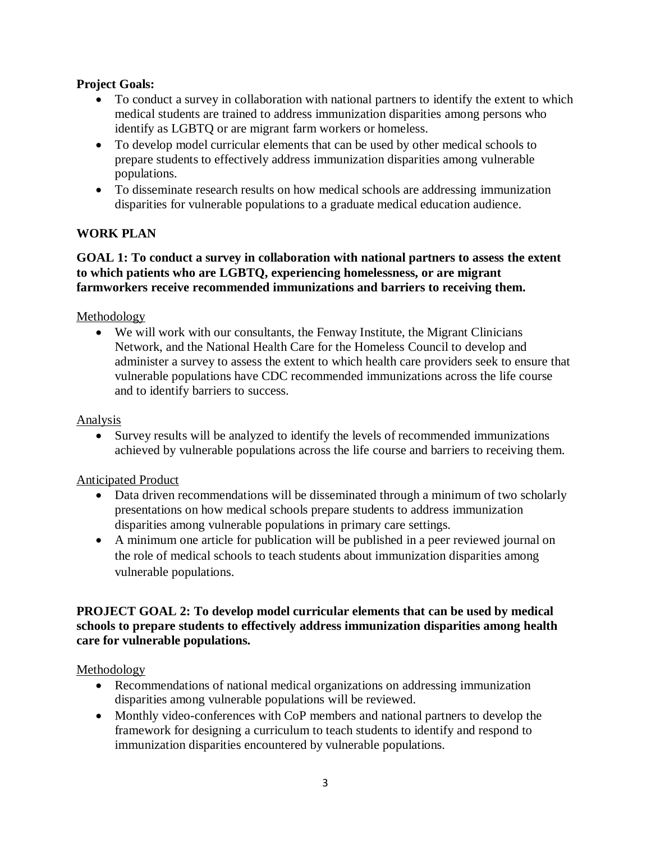## **Project Goals:**

- To conduct a survey in collaboration with national partners to identify the extent to which medical students are trained to address immunization disparities among persons who identify as LGBTQ or are migrant farm workers or homeless.
- To develop model curricular elements that can be used by other medical schools to prepare students to effectively address immunization disparities among vulnerable populations.
- To disseminate research results on how medical schools are addressing immunization disparities for vulnerable populations to a graduate medical education audience.

# **WORK PLAN**

## **GOAL 1: To conduct a survey in collaboration with national partners to assess the extent to which patients who are LGBTQ, experiencing homelessness, or are migrant farmworkers receive recommended immunizations and barriers to receiving them.**

### Methodology

 We will work with our consultants, the Fenway Institute, the Migrant Clinicians Network, and the National Health Care for the Homeless Council to develop and administer a survey to assess the extent to which health care providers seek to ensure that vulnerable populations have CDC recommended immunizations across the life course and to identify barriers to success.

#### Analysis

 Survey results will be analyzed to identify the levels of recommended immunizations achieved by vulnerable populations across the life course and barriers to receiving them.

#### Anticipated Product

- Data driven recommendations will be disseminated through a minimum of two scholarly presentations on how medical schools prepare students to address immunization disparities among vulnerable populations in primary care settings.
- A minimum one article for publication will be published in a peer reviewed journal on the role of medical schools to teach students about immunization disparities among vulnerable populations.

### **PROJECT GOAL 2: To develop model curricular elements that can be used by medical schools to prepare students to effectively address immunization disparities among health care for vulnerable populations.**

#### Methodology

- Recommendations of national medical organizations on addressing immunization disparities among vulnerable populations will be reviewed.
- Monthly video-conferences with CoP members and national partners to develop the framework for designing a curriculum to teach students to identify and respond to immunization disparities encountered by vulnerable populations.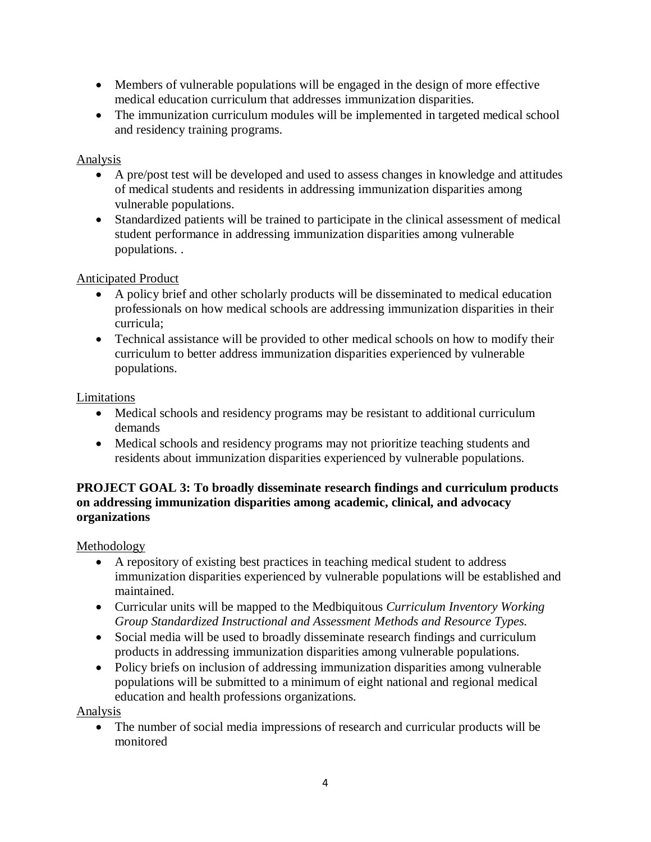- Members of vulnerable populations will be engaged in the design of more effective medical education curriculum that addresses immunization disparities.
- The immunization curriculum modules will be implemented in targeted medical school and residency training programs.

# Analysis

- A pre/post test will be developed and used to assess changes in knowledge and attitudes of medical students and residents in addressing immunization disparities among vulnerable populations.
- Standardized patients will be trained to participate in the clinical assessment of medical student performance in addressing immunization disparities among vulnerable populations. .

# Anticipated Product

- A policy brief and other scholarly products will be disseminated to medical education professionals on how medical schools are addressing immunization disparities in their curricula;
- Technical assistance will be provided to other medical schools on how to modify their curriculum to better address immunization disparities experienced by vulnerable populations.

Limitations

- Medical schools and residency programs may be resistant to additional curriculum demands
- Medical schools and residency programs may not prioritize teaching students and residents about immunization disparities experienced by vulnerable populations.

# **PROJECT GOAL 3: To broadly disseminate research findings and curriculum products on addressing immunization disparities among academic, clinical, and advocacy organizations**

Methodology

- A repository of existing best practices in teaching medical student to address immunization disparities experienced by vulnerable populations will be established and maintained.
- Curricular units will be mapped to the Medbiquitous *Curriculum Inventory Working Group Standardized Instructional and Assessment Methods and Resource Types.*
- Social media will be used to broadly disseminate research findings and curriculum products in addressing immunization disparities among vulnerable populations.
- Policy briefs on inclusion of addressing immunization disparities among vulnerable populations will be submitted to a minimum of eight national and regional medical education and health professions organizations.

Analysis

 The number of social media impressions of research and curricular products will be monitored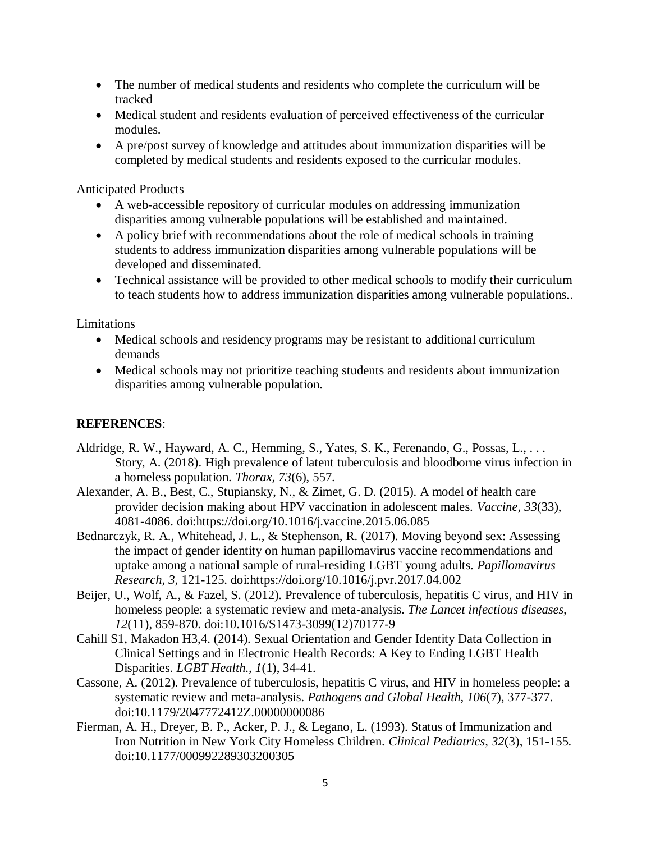- The number of medical students and residents who complete the curriculum will be tracked
- Medical student and residents evaluation of perceived effectiveness of the curricular modules.
- A pre/post survey of knowledge and attitudes about immunization disparities will be completed by medical students and residents exposed to the curricular modules.

#### Anticipated Products

- A web-accessible repository of curricular modules on addressing immunization disparities among vulnerable populations will be established and maintained.
- A policy brief with recommendations about the role of medical schools in training students to address immunization disparities among vulnerable populations will be developed and disseminated.
- Technical assistance will be provided to other medical schools to modify their curriculum to teach students how to address immunization disparities among vulnerable populations..

### Limitations

- Medical schools and residency programs may be resistant to additional curriculum demands
- Medical schools may not prioritize teaching students and residents about immunization disparities among vulnerable population.

## **REFERENCES**:

- Aldridge, R. W., Hayward, A. C., Hemming, S., Yates, S. K., Ferenando, G., Possas, L., . . . Story, A. (2018). High prevalence of latent tuberculosis and bloodborne virus infection in a homeless population. *Thorax, 73*(6), 557.
- Alexander, A. B., Best, C., Stupiansky, N., & Zimet, G. D. (2015). A model of health care provider decision making about HPV vaccination in adolescent males. *Vaccine, 33*(33), 4081-4086. doi:https://doi.org/10.1016/j.vaccine.2015.06.085
- Bednarczyk, R. A., Whitehead, J. L., & Stephenson, R. (2017). Moving beyond sex: Assessing the impact of gender identity on human papillomavirus vaccine recommendations and uptake among a national sample of rural-residing LGBT young adults. *Papillomavirus Research, 3*, 121-125. doi:https://doi.org/10.1016/j.pvr.2017.04.002
- Beijer, U., Wolf, A., & Fazel, S. (2012). Prevalence of tuberculosis, hepatitis C virus, and HIV in homeless people: a systematic review and meta-analysis. *The Lancet infectious diseases, 12*(11), 859-870. doi:10.1016/S1473-3099(12)70177-9
- Cahill S1, Makadon H3,4. (2014). Sexual Orientation and Gender Identity Data Collection in Clinical Settings and in Electronic Health Records: A Key to Ending LGBT Health Disparities. *LGBT Health., 1*(1), 34-41.
- Cassone, A. (2012). Prevalence of tuberculosis, hepatitis C virus, and HIV in homeless people: a systematic review and meta-analysis. *Pathogens and Global Health, 106*(7), 377-377. doi:10.1179/2047772412Z.00000000086
- Fierman, A. H., Dreyer, B. P., Acker, P. J., & Legano, L. (1993). Status of Immunization and Iron Nutrition in New York City Homeless Children. *Clinical Pediatrics, 32*(3), 151-155. doi:10.1177/000992289303200305